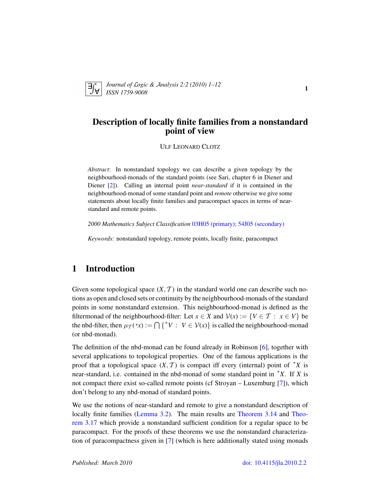<span id="page-0-0"></span>

*Journal of* L*ogic &* A*nalysis 2:2 (2010) 1–12 ISSN 1759-9008* 1

## Description of locally finite families from a nonstandard point of view

ULF LEONARD CLOTZ

*Abstract*: In nonstandard topology we can describe a given topology by the neighbourhood-monads of the standard points (see Sari, chapter 6 in Diener and Diener [\[2\]](#page-11-0)). Calling an internal point *near-standard* if it is contained in the neighbourhood-monad of some standard point and *remote* otherwise we give some statements about locally finite families and paracompact spaces in terms of nearstandard and remote points.

*2000 Mathematics Subject Classification* [03H05 \(primary\); 54J05 \(secondary\)](http://www.ams.org/mathscinet/search/mscdoc.html?code=03H05,(54J05))

*Keywords*: nonstandard topology, remote points, locally finite, paracompact

# 1 Introduction

Given some topological space  $(X, \mathcal{T})$  in the standard world one can describe such notions as open and closed sets or continuity by the neighbourhood-monads of the standard points in some nonstandard extension. This neighbourhood-monad is defined as the filtermonad of the neighbourhood-filter: Let  $x \in X$  and  $V(x) := \{V \in T : x \in V\}$  be the nbd-filter, then  $\mu_{\mathcal{T}}(*x) := \bigcap \{ {}^*V : V \in \mathcal{V}(x) \}$  is called the neighbourhood-monad (or nbd-monad).

The definition of the nbd-monad can be found already in Robinson [\[6\]](#page-11-1), together with several applications to topological properties. One of the famous applications is the proof that a topological space  $(X, \mathcal{T})$  is compact iff every (internal) point of  $^*X$  is near-standard, i.e. contained in the nbd-monad of some standard point in <sup>∗</sup>*X*. If *X* is not compact there exist so-called remote points (cf Stroyan – Luxemburg [\[7\]](#page-11-2)), which don't belong to any nbd-monad of standard points.

We use the notions of near-standard and remote to give a nonstandard description of locally finite families [\(Lemma 3.2\)](#page-5-0). The main results are [Theorem 3.14](#page-8-0) and [Theo](#page-10-0)[rem 3.17](#page-10-0) which provide a nonstandard sufficient condition for a regular space to be paracompact. For the proofs of these theorems we use the nonstandard characterization of paracompactness given in [\[7\]](#page-11-2) (which is here additionally stated using monads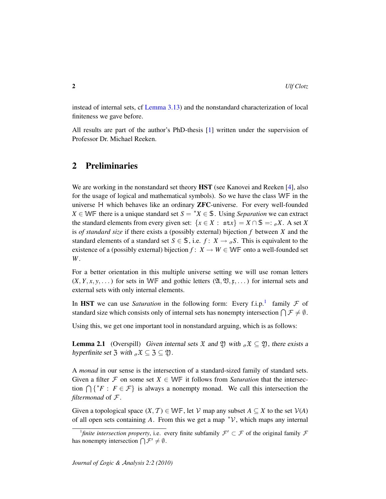instead of internal sets, cf [Lemma 3.13\)](#page-8-1) and the nonstandard characterization of local finiteness we gave before.

All results are part of the author's PhD-thesis [\[1\]](#page-10-1) written under the supervision of Professor Dr. Michael Reeken.

## 2 Preliminaries

We are working in the nonstandard set theory **HST** (see Kanovei and Reeken [\[4\]](#page-11-3), also for the usage of logical and mathematical symbols). So we have the class WF in the universe H which behaves like an ordinary ZFC-universe. For every well-founded *X* ∈ WF there is a unique standard set  $S = \{X \in \mathcal{S} \}$ . Using *Separation* we can extract the standard elements from every given set:  $\{x \in X : \text{st } x\} = X \cap \mathbb{S} =: \sigma X$ . A set X is *of standard size* if there exists a (possibly external) bijection *f* between *X* and the standard elements of a standard set  $S \in \mathbb{S}$ , i.e.  $f: X \to \sigma S$ . This is equivalent to the existence of a (possibly external) bijection  $f: X \to W \in W \mathbb{F}$  onto a well-founded set *W* .

For a better orientation in this multiple universe setting we will use roman letters  $(X, Y, x, y, \dots)$  for sets in WF and gothic letters  $(\mathfrak{A}, \mathfrak{V}, \mathfrak{x}, \dots)$  for internal sets and external sets with only internal elements.

In HST we can use *Saturation* in the following form: Every f.i.p.<sup>[1](#page-1-0)</sup> family  $\mathcal F$  of standard size which consists only of internal sets has nonempty intersection  $\bigcap \mathcal{F} \neq \emptyset$ .

Using this, we get one important tool in nonstandard arguing, which is as follows:

**Lemma 2.1** (Overspill) Given internal sets  $\mathfrak{X}$  and  $\mathfrak{Y}$ ) with  $\sigma \mathfrak{X} \subseteq \mathfrak{Y}$ , there exists a hyperfinite set 3 with  ${}_{\sigma} \mathfrak{X} \subseteq \mathfrak{Z} \subseteq \mathfrak{Y}$ .

A *monad* in our sense is the intersection of a standard-sized family of standard sets. Given a filter  $\mathcal F$  on some set  $X \in \mathbb {WF}$  it follows from *Saturation* that the intersection  $\bigcap \{ {}^*F : F \in \mathcal{F} \}$  is always a nonempty monad. We call this intersection the *filtermonad* of F .

Given a topological space  $(X, \mathcal{T}) \in \mathbb{WF}$ , let  $\mathcal{V}$  map any subset  $A \subseteq X$  to the set  $\mathcal{V}(A)$ of all open sets containing A. From this we get a map  $\gamma$ , which maps any internal

<span id="page-1-0"></span>*<sup>&</sup>lt;sup>1</sup>finite intersection property*, i.e. every finite subfamily  $\mathcal{F}' \subset \mathcal{F}$  of the original family  $\mathcal{F}$ has nonempty intersection  $\bigcap \mathcal{F}' \neq \emptyset$ .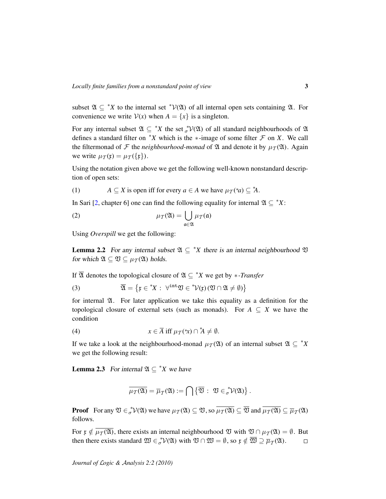subset  $\mathfrak{A} \subseteq {}^*X$  to the internal set  ${}^*V(\mathfrak{A})$  of all internal open sets containing  $\mathfrak{A}$ . For convenience we write  $V(x)$  when  $A = \{x\}$  is a singleton.

For any internal subset  $\mathfrak{A} \subseteq {}^*X$  the set  ${}^*V(\mathfrak{A})$  of all standard neighbourhoods of  $\mathfrak A$ defines a standard filter on  $*X$  which is the  $*$ -image of some filter  $F$  on  $X$ . We call the filtermonad of  $\mathcal F$  the *neighbourhood-monad* of  $\mathfrak A$  and denote it by  $\mu_{\mathcal T}(\mathfrak A)$ . Again we write  $\mu_{\mathcal{I}}(\mathfrak{x}) = \mu_{\mathcal{I}}(\{\mathfrak{x}\}).$ 

Using the notation given above we get the following well-known nonstandard description of open sets:

(1) 
$$
A \subseteq X
$$
 is open iff for every  $a \in A$  we have  $\mu_{\mathcal{I}}(*a) \subseteq {}^*A$ .

<span id="page-2-5"></span>In Sari [\[2,](#page-11-0) chapter 6] one can find the following equality for internal  $\mathfrak{A} \subseteq {}^*X$ :

<span id="page-2-4"></span>(2) 
$$
\mu_{\mathcal{T}}(\mathfrak{A}) = \bigcup_{\mathfrak{a} \in \mathfrak{A}} \mu_{\mathcal{T}}(\mathfrak{a})
$$

Using *Overspill* we get the following:

<span id="page-2-1"></span>**Lemma 2.2** For any internal subset  $\mathfrak{A} \subseteq {}^*X$  there is an internal neighbourhood  $\mathfrak{B}$ for which  $\mathfrak{A} \subseteq \mathfrak{V} \subseteq \mu_{\mathcal{T}}(\mathfrak{A})$  holds.

If  $\overline{A}$  denotes the topological closure of  $A \subseteq {}^*X$  we get by \**-Transfer* 

(3) 
$$
\overline{\mathfrak{A}} = \left\{ \mathfrak{x} \in {^*X} : \ \forall^{\text{int}} \mathfrak{V} \in {^*V(\mathfrak{x})}(\mathfrak{V} \cap \mathfrak{A} \neq \emptyset) \right\}
$$

<span id="page-2-2"></span>for internal A. For later application we take this equality as a definition for the topological closure of external sets (such as monads). For  $A \subseteq X$  we have the condition

(4) 
$$
x \in \overline{A} \text{ iff } \mu_{\mathcal{T}}(*x) \cap {}^*A \neq \emptyset.
$$

If we take a look at the neighbourhood-monad  $\mu_{\mathcal{T}}(\mathfrak{A})$  of an internal subset  $\mathfrak{A} \subseteq {}^*X$ we get the following result:

<span id="page-2-3"></span>**Lemma 2.3** For internal  $\mathfrak{A} \subseteq {}^*X$  we have

<span id="page-2-0"></span>
$$
\overline{\mu_{\mathcal{T}}(\mathfrak{A})} = \overline{\mu}_{\mathcal{T}}(\mathfrak{A}) := \bigcap \left\{ \overline{\mathfrak{V}} : \mathfrak{V} \in \sigma^* \mathcal{V}(\mathfrak{A}) \right\}.
$$

**Proof** For any  $\mathfrak{V} \in {}_{\sigma}^{*}\mathcal{V}(\mathfrak{A})$  we have  $\mu_{\mathcal{T}}(\mathfrak{A}) \subseteq \mathfrak{V}$ , so  $\overline{\mu_{\mathcal{T}}(\mathfrak{A})} \subseteq \overline{\mathfrak{V}}$  and  $\overline{\mu_{\mathcal{T}}(\mathfrak{A})} \subseteq \overline{\mu}_{\mathcal{T}}(\mathfrak{A})$ follows.

For  $\mathfrak{x} \notin \overline{\mu_{\mathcal{T}}(\mathfrak{A})}$ , there exists an internal neighbourhood  $\mathfrak{V}$  with  $\mathfrak{V} \cap \mu_{\mathcal{T}}(\mathfrak{A}) = \emptyset$ . But then there exists standard  $\mathfrak{W} \in {}_{\sigma}^{*}\mathcal{V}(\mathfrak{A})$  with  $\mathfrak{V} \cap \mathfrak{W} = \emptyset$ , so  $\mathfrak{x} \notin \overline{\mathfrak{W}} \supseteq \overline{\mu}_{\mathcal{T}}(\mathfrak{A})$ .  $\Box$ 

*Journal of* L*ogic &* A*nalysis 2:2 (2010)*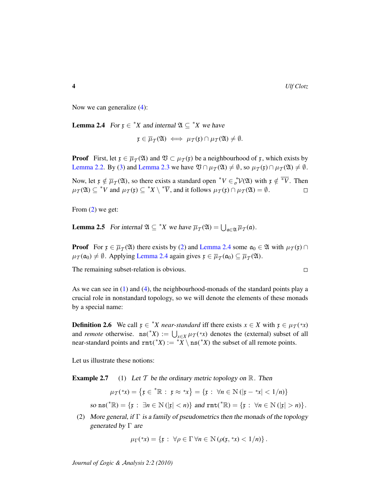$\Box$ 

Now we can generalize [\(4\)](#page-2-0):

<span id="page-3-0"></span>**Lemma 2.4** For  $x \in {}^*X$  and internal  $\mathfrak{A} \subseteq {}^*X$  we have

$$
\mathfrak{x} \in \overline{\mu}_\mathcal{T}(\mathfrak{A}) \iff \mu_\mathcal{T}(\mathfrak{x}) \cap \mu_\mathcal{T}(\mathfrak{A}) \neq \emptyset.
$$

**Proof** First, let  $\mathfrak{x} \in \overline{\mu}_{\mathcal{T}}(\mathfrak{A})$  and  $\mathfrak{V} \subset \mu_{\mathcal{T}}(\mathfrak{x})$  be a neighbourhood of  $\mathfrak{x}$ , which exists by [Lemma 2.2.](#page-2-1) By [\(3\)](#page-2-2) and [Lemma 2.3](#page-2-3) we have  $\mathfrak{V} \cap \mu_{\mathcal{T}}(\mathfrak{A}) \neq \emptyset$ , so  $\mu_{\mathcal{T}}(\mathfrak{x}) \cap \mu_{\mathcal{T}}(\mathfrak{A}) \neq \emptyset$ .

Now, let  $\mathfrak{x} \notin \overline{\mu}_{\mathcal{I}}(\mathfrak{A})$ , so there exists a standard open  $^*V \in {}_{\sigma}^*V(\mathfrak{A})$  with  $\mathfrak{x} \notin {}^*\overline{V}$ . Then  $\mu_{\mathcal{T}}(\mathfrak{A}) \subseteq {}^*V$  and  $\mu_{\mathcal{T}}(\mathfrak{x}) \subseteq {}^*X \setminus {}^*\overline{V}$ , and it follows  $\mu_{\mathcal{T}}(\mathfrak{x}) \cap \mu_{\mathcal{T}}(\mathfrak{A}) = \emptyset$ .  $\Box$ 

From [\(2\)](#page-2-4) we get:

**Lemma 2.5** For internal  $\mathfrak{A} \subseteq {}^*X$  we have  $\overline{\mu}_T(\mathfrak{A}) = \bigcup_{\mathfrak{a} \in \mathfrak{A}} \overline{\mu}_T(\mathfrak{a})$ .

**Proof** For  $\mathfrak{x} \in \overline{\mu}_{\mathcal{I}}(\mathfrak{A})$  there exists by [\(2\)](#page-2-4) and [Lemma 2.4](#page-3-0) some  $\mathfrak{a}_0 \in \mathfrak{A}$  with  $\mu_{\mathcal{I}}(\mathfrak{x}) \cap$  $\mu_{\mathcal{T}}(\mathfrak{a}_0) \neq \emptyset$ . Applying [Lemma 2.4](#page-3-0) again gives  $\mathfrak{x} \in \overline{\mu}_{\mathcal{T}}(\mathfrak{a}_0) \subseteq \overline{\mu}_{\mathcal{T}}(\mathfrak{A})$ .

The remaining subset-relation is obvious.

As we can see in  $(1)$  and  $(4)$ , the neighbourhood-monads of the standard points play a crucial role in nonstandard topology, so we will denote the elements of these monads by a special name:

**Definition 2.6** We call  $\mathfrak{x} \in {}^*X$  *near-standard* iff there exists  $x \in X$  with  $\mathfrak{x} \in \mu_T({}^*x)$ and *remote* otherwise.  $\text{ns}(\text{*}X) := \bigcup_{x \in X} \mu_T(\text{*}x)$  denotes the (external) subset of all near-standard points and  $\text{rmt}(*X) := *X \setminus \text{ns}(*X)$  the subset of all remote points.

Let us illustrate these notions:

**Example 2.7** (1) Let T be the ordinary metric topology on  $\mathbb{R}$ . Then

$$
\mu_{\mathcal{T}}(*x) = \{ \mathfrak{x} \in {}^*\mathbb{R} : \ \mathfrak{x} \approx {}^*x \} = \{ \mathfrak{x} : \ \forall n \in \mathbb{N} \ (|\mathfrak{x} - {}^*x| < 1/n) \}
$$

so  $\text{ns}(\sqrt[k]{\mathbb{R}}) = {\mathbb{R}} : \exists n \in \mathbb{N} \left( |x| < n \right) \}$  and  $\text{rmt}(\sqrt[k]{\mathbb{R}}) = {\mathbb{R}} : \forall n \in \mathbb{N} \left( |x| > n \right).$ 

(2) More general, if  $\Gamma$  is a family of pseudometrics then the monads of the topology generated by  $\Gamma$  are

$$
\mu_{\Gamma}(*x) = \{ \mathfrak{x} : \forall \rho \in \Gamma \, \forall n \in \mathbb{N} \, (\rho(\mathfrak{x}, *x) < 1/n) \}.
$$

*Journal of* L*ogic &* A*nalysis 2:2 (2010)*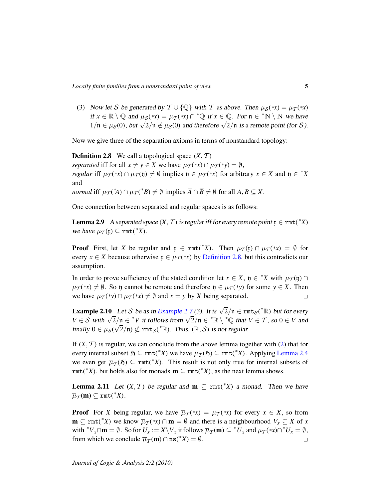(3) Now let S be generated by  $T \cup \{ \mathbb{Q} \}$  with T as above. Then  $\mu_S(*x) = \mu_T(*x)$ if  $x \in \mathbb{R} \setminus \mathbb{Q}$  and  $\mu_{\mathcal{S}}(*x) = \mu_{\mathcal{T}}(*x) \cap {}^*\mathbb{Q}$  if  $x \in \mathbb{Q}$ . For  $\mathfrak{n} \in {}^*\mathbb{N} \setminus \mathbb{N}$  we have  $\mu x \in \mathbb{R} \setminus \mathbb{Q}$  and  $\mu_S(\mathbb{R}) = \mu_T(\mathbb{R}) + \mathbb{Q}$  if  $x \in \mathbb{Q}$ . For  $0 \in \mathbb{R} \setminus \mathbb{N}$  we have  $1/n \in \mu_S(0)$ , but  $\sqrt{2}/\mathfrak{n} \notin \mu_S(0)$  and therefore  $\sqrt{2}/\mathfrak{n}$  is a remote point (for S).

Now we give three of the separation axioms in terms of nonstandard topology:

<span id="page-4-0"></span>**Definition 2.8** We call a topological space  $(X, \mathcal{T})$ *separated* iff for all  $x \neq y \in X$  we have  $\mu_{\mathcal{I}}(*x) \cap \mu_{\mathcal{I}}(*y) = \emptyset$ , *regular* iff  $\mu_{\mathcal{T}}(*x) \cap \mu_{\mathcal{T}}(\mathfrak{y}) \neq \emptyset$  implies  $\mathfrak{y} \in \mu_{\mathcal{T}}(*x)$  for arbitrary  $x \in X$  and  $\mathfrak{y} \in {^*X}$ and *normal* iff  $\mu_{\mathcal{I}}({^*A}) \cap \mu_{\mathcal{I}}({^*B}) \neq \emptyset$  implies  $\overline{A} \cap \overline{B} \neq \emptyset$  for all  $A, B \subseteq X$ .

One connection between separated and regular spaces is as follows:

<span id="page-4-1"></span>**Lemma 2.9** A separated space  $(X, \mathcal{T})$  is regular iff for every remote point  $\mathfrak{x} \in \text{rmt}({}^*X)$ we have  $\mu_{\mathcal{T}}(\mathfrak{x}) \subseteq \text{rmt}({}^*X)$ .

**Proof** First, let *X* be regular and  $\mathfrak{x} \in \text{rmt}(*X)$ . Then  $\mu_{\mathcal{T}}(\mathfrak{x}) \cap \mu_{\mathcal{T}}(*x) = \emptyset$  for every  $x \in X$  because otherwise  $x \in \mu_{\mathcal{T}}(*x)$  by [Definition 2.8,](#page-4-0) but this contradicts our assumption.

In order to prove sufficiency of the stated condition let  $x \in X$ ,  $y \in {^*X}$  with  $\mu_{\mathcal{I}}(y) \cap$  $\mu_{\mathcal{T}}(*x) \neq \emptyset$ . So  $\eta$  cannot be remote and therefore  $\eta \in \mu_{\mathcal{T}}(*y)$  for some  $y \in X$ . Then we have  $\mu_{\mathcal{T}}(*y) \cap \mu_{\mathcal{T}}(*x) \neq \emptyset$  and  $x = y$  by *X* being separated.  $\Box$ 

<span id="page-4-2"></span>**Example 2.10** Let S be as in [Example 2.7](#page-0-0) (3). It is  $\sqrt{2}/n \in \text{rmts}(\sqrt[k]{\mathbb{R}})$  but for every **Example 2.10** Let S be as in Example 2.7 (3). It is  $\sqrt{2}/\pi \in \text{Im}(S(\mathbb{R}))$  but for every<br>  $V \in S$  with  $\sqrt{2}/\pi \in {}^*V$  it follows from  $\sqrt{2}/\pi \in {}^* \mathbb{R} \setminus {}^* \mathbb{Q}$  that  $V \in T$ , so  $0 \in V$  and finally  $0 \in \mu_S(\sqrt{2}/\mathfrak{n}) \not\subset \text{rmf}_S({^*}\mathbb{R})$ . Thus,  $(\mathbb{R}, \mathcal{S})$  is not regular.

If  $(X, \mathcal{T})$  is regular, we can conclude from the above lemma together with [\(2\)](#page-2-4) that for every internal subset  $\mathfrak{H} \subseteq \text{rmt}({}^*X)$  we have  $\mu_{\mathcal{I}}(\mathfrak{H}) \subseteq \text{rmt}({}^*X)$ . Applying [Lemma 2.4](#page-3-0) we even get  $\overline{\mu}_{\mathcal{I}}(\mathfrak{H}) \subseteq \text{rmt}({*X})$ . This result is not only true for internal subsets of  $rmt(*X)$ , but holds also for monads  $\mathbf{m} \subseteq rmt(*X)$ , as the next lemma shows.

<span id="page-4-3"></span>**Lemma 2.11** Let  $(X, \mathcal{T})$  be regular and  $\mathbf{m} \subseteq \text{rmt}(*X)$  a monad. Then we have  $\overline{\mu}_{\mathcal{T}}(\mathbf{m}) \subseteq \mathtt{rmt}({}^*\hspace{-0.05cm}X).$ 

**Proof** For *X* being regular, we have  $\overline{\mu}_{\mathcal{I}}(*x) = \mu_{\mathcal{I}}(*x)$  for every  $x \in X$ , so from  $\mathbf{m} \subseteq \text{rmt}(*X)$  we know  $\overline{\mu}_T(*x) \cap \mathbf{m} = \emptyset$  and there is a neighbourhood  $V_x \subseteq X$  of x with  ${}^*\overline{V}_x \cap \mathbf{m} = \emptyset$ . So for  $U_x := X \setminus \overline{V}_x$  it follows  $\overline{\mu}_{\mathcal{I}}(\mathbf{m}) \subseteq {}^*\overline{U}_x$  and  $\mu_{\mathcal{I}}({}^*\!x) \cap {}^*\overline{U}_x = \emptyset$ , from which we conclude  $\overline{\mu}_{\mathcal{I}}(\mathbf{m}) \cap \text{ns}({}^*X) = \emptyset$ .  $\Box$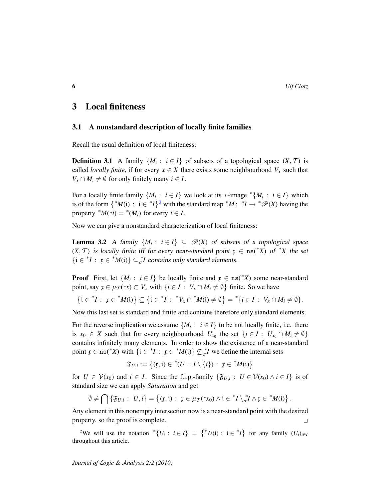#### 3 Local finiteness

#### 3.1 A nonstandard description of locally finite families

Recall the usual definition of local finiteness:

**Definition 3.1** A family  $\{M_i : i \in I\}$  of subsets of a topological space  $(X, \mathcal{T})$  is called *locally finite*, if for every  $x \in X$  there exists some neighbourhood  $V_x$  such that  $V_x \cap M_i \neq \emptyset$  for only finitely many  $i \in I$ .

For a locally finite family  $\{M_i : i \in I\}$  we look at its  $*$ -image  $^*\{M_i : i \in I\}$  which is of the form  $\{ {}^*M(i) : i \in {}^*I \}^2$  $\{ {}^*M(i) : i \in {}^*I \}^2$  with the standard map  ${}^*M : {}^*I \to {}^*{\mathscr{P}}(X)$  having the property  $^*M(*i) = ^*(M_i)$  for every  $i \in I$ .

Now we can give a nonstandard characterization of local finiteness:

<span id="page-5-0"></span>**Lemma 3.2** A family  $\{M_i : i \in I\} \subseteq \mathcal{P}(X)$  of subsets of a topological space  $(X, \mathcal{T})$  is locally finite iff for every near-standard point  $\mathfrak{x} \in \text{ns}({}^*X)$  of  ${}^*X$  the set  $\{i \in {}^*I : \; \mathfrak{x} \in {}^*M(i)\} \subseteq {}^*_{\sigma}I$  contains only standard elements.

**Proof** First, let  $\{M_i : i \in I\}$  be locally finite and  $\mathfrak{x} \in \text{ns}(\mathbb{R}^*X)$  some near-standard point, say  $\mathfrak{x} \in \mu_{\mathcal{T}}(*x) \subset V_x$  with  $\{i \in I : V_x \cap M_i \neq \emptyset\}$  finite. So we have

$$
\{i \in {}^*I : \ \mathfrak{x} \in {}^*M(i)\} \subseteq \{i \in {}^*I : \ {^*V_x \cap }^*M(i) \neq \emptyset\} = {}^*\{i \in I : \ V_x \cap M_i \neq \emptyset\}.
$$

Now this last set is standard and finite and contains therefore only standard elements.

For the reverse implication we assume  $\{M_i : i \in I\}$  to be not locally finite, i.e. there is  $x_0 \in X$  such that for every neighbourhood  $U_{x_0}$  the set  $\{i \in I : U_{x_0} \cap M_i \neq \emptyset\}$ contains infinitely many elements. In order to show the existence of a near-standard point  $\mathfrak{x} \in \text{ns}(\lq X)$  with  $\{\mathfrak{i} \in \lq Y : \mathfrak{x} \in \lq M(\mathfrak{i})\} \nsubseteq_{\sigma}^* I$  we define the internal sets

$$
\mathfrak{F}_{U,i} := \big\{ (\mathfrak{x}, \mathfrak{i}) \in {}^*(U \times I \setminus \{i\}) : \ \mathfrak{x} \in {}^*M(\mathfrak{i}) \big\}
$$

for  $U \in V(x_0)$  and  $i \in I$ . Since the f.i.p.-family  $\{\mathfrak{F}_{U,i} : U \in V(x_0) \land i \in I\}$  is of standard size we can apply *Saturation* and get

$$
\emptyset \neq \bigcap \left\{ \mathfrak{F}_{U,i} : U,i \right\} = \left\{ (\mathfrak{x},\mathfrak{i}) : \ \mathfrak{x} \in \mu_{\mathcal{T}}({}^*\!x_0) \wedge \mathfrak{i} \in {}^*\!I \setminus_{\sigma} {}^*\!I \wedge \mathfrak{x} \in {}^*\!M(\mathfrak{i}) \right\}.
$$

Any element in this nonempty intersection now is a near-standard point with the desired property, so the proof is complete.  $\Box$ 

<span id="page-5-1"></span><sup>&</sup>lt;sup>2</sup>We will use the notation  ${}^*{U_i}$ :  $i \in I$ } = { ${}^*U(i)$ :  $i \in {}^*I$ } for any family  $(U_i)_{i \in I}$ throughout this article.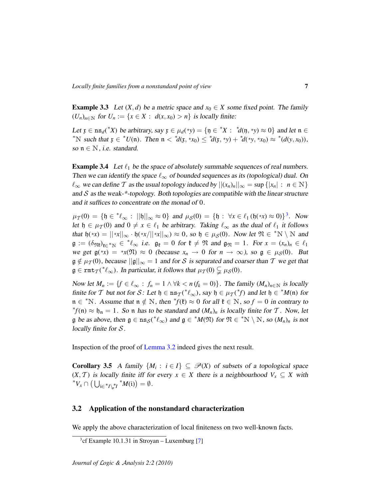**Example 3.3** Let  $(X, d)$  be a metric space and  $x_0 \in X$  some fixed point. The family  $(U_n)_{n \in \mathbb{N}}$  for  $U_n := \{x \in X : d(x, x_0) > n\}$  is locally finite:

Let  $\mathfrak{x} \in \text{ns}_d({}^*X)$  be arbitrary, say  $\mathfrak{x} \in \mu_d({}^*\mathfrak{y}) = {\mathfrak{y} \in {}^*X : {}^*d(\mathfrak{y}, {}^*\mathfrak{y}) \approx 0}$  and let  $\mathfrak{n} \in$ \*N such that  $\mathfrak{x} \in {}^*U(\mathfrak{n})$ . Then  $\mathfrak{n} < {}^*d(\mathfrak{x}, {}^*\mathfrak{x}_0) \leq {}^*d(\mathfrak{x}, {}^*\mathfrak{y}) + {}^*d({}^*\mathfrak{y}, {}^*\mathfrak{x}_0) \approx {}^*({d}(\mathfrak{y}, x_0)),$ so  $n \in \mathbb{N}$ , i.e. standard.

**Example 3.4** Let  $\ell_1$  be the space of absolutely summable sequences of real numbers. Then we can identify the space  $\ell_{\infty}$  of bounded sequences as its (topological) dual. On  $\ell_{\infty}$  we can define T as the usual topology induced by  $||(x_n)_n||_{\infty} = \sup\{|x_n| : n \in \mathbb{N}\}\$ and  $S$  as the weak-\*-topology. Both topologies are compatible with the linear structure and it suffices to concentrate on the monad of 0.

 $\mu_{\mathcal{I}}(0) = \{ \mathfrak{h} \in {}^*\ell_{\infty} : ||\mathfrak{h}||_{\infty} \approx 0 \}$  and  $\mu_{\mathcal{S}}(0) = \{ \mathfrak{h} : \forall x \in \ell_1 (\mathfrak{h}({}^*\!x) \approx 0) \}^3$  $\mu_{\mathcal{S}}(0) = \{ \mathfrak{h} : \forall x \in \ell_1 (\mathfrak{h}({}^*\!x) \approx 0) \}^3$ . Now let  $\mathfrak{h} \in \mu_{\mathcal{I}}(0)$  and  $0 \neq x \in \ell_1$  be arbitrary. Taking  $\ell_{\infty}$  as the dual of  $\ell_1$  it follows that  $\mathfrak{h}(*x) = ||*x||_{\infty} \cdot \mathfrak{h}(*x/||*x||_{\infty}) \approx 0$ , so  $\mathfrak{h} \in \mu_{\mathcal{S}}(0)$ . Now let  $\mathfrak{N} \in {}^*\mathbb{N} \setminus \mathbb{N}$  and  $\mathfrak{g} := (\delta_{\mathfrak{M}})_{\mathfrak{k} \in \mathfrak{k} \setminus \mathbb{N}} \in \mathfrak{k} \mathfrak{\ell}_{\infty}$  i.e.  $\mathfrak{g}_{\mathfrak{k}} = 0$  for  $\mathfrak{k} \neq \mathfrak{N}$  and  $\mathfrak{g}_{\mathfrak{N}} = 1$ . For  $x = (x_n)_n \in \ell_1$ we get  $g(*x) = *x(\mathfrak{N}) \approx 0$  (because  $x_n \to 0$  for  $n \to \infty$ ), so  $g \in \mu_S(0)$ . But  $\mathfrak{g} \notin \mu_{\mathcal{I}}(0)$ , because  $||\mathfrak{g}||_{\infty} = 1$  and for S is separated and coarser than T we get that  $\mathfrak{g} \in \text{rmt}_{\mathcal{T}}({}^*\ell_{\infty})$ . In particular, it follows that  $\mu_{\mathcal{T}}(0) \subsetneqq \mu_{\mathcal{S}}(0)$ .

Now let  $M_n := \{f \in \ell_\infty : f_n = 1 \land \forall k < n (f_k = 0)\}\.$  The family  $(M_n)_{n \in \mathbb{N}}$  is locally finite for T but not for S: Let  $\mathfrak{h} \in \text{ns}_\mathcal{T}({}^*\ell_\infty)$ , say  $\mathfrak{h} \in \mu_\mathcal{T}({}^*\!f)$  and let  $\mathfrak{h} \in {}^*M(\mathfrak{n})$  for  $m \in {}^*N$ . Assume that  $m \notin N$ , then  ${}^*f({\mathfrak k}) \approx 0$  for all  ${\mathfrak k} \in N$ , so  $f = 0$  in contrary to  ${}^*f(n)$  ≈  $\mathfrak{h}_n = 1$ . So n has to be standard and  $(M_n)_n$  is locally finite for T. Now, let g be as above, then  $g \in \text{ns}_{\mathcal{S}}({}^{\ast}\ell_{\infty})$  and  $g \in {}^{\ast}M(\mathfrak{N})$  for  $\mathfrak{N} \in {}^{\ast}N \setminus N$ , so  $(M_n)_n$  is not locally finite for  $S$ .

Inspection of the proof of [Lemma 3.2](#page-5-0) indeed gives the next result.

<span id="page-6-1"></span>**Corollary 3.5** A family  $\{M_i : i \in I\} \subseteq \mathcal{P}(X)$  of subsets of a topological space  $(X, \mathcal{T})$  is locally finite iff for every  $x \in X$  there is a neighbourhood  $V_x \subseteq X$  with  ${}^*V_x \cap \left(\bigcup_{\mathfrak{i}\in {}^*I\setminus {}^*_I} {}^*M(\mathfrak{i})\right) = \emptyset.$ 

#### 3.2 Application of the nonstandard characterization

We apply the above characterization of local finiteness on two well-known facts.

<span id="page-6-0"></span><sup>3</sup> cf Example 10.1.31 in Stroyan – Luxemburg [\[7\]](#page-11-2)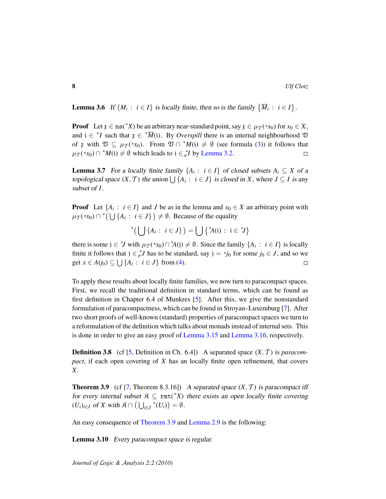<span id="page-7-1"></span>**Lemma 3.6** If  $\{M_i : i \in I\}$  is locally finite, then so is the family  $\{\overline{M}_i : i \in I\}$ .

**Proof** Let  $\mathfrak{x} \in \text{ns}(\mathfrak{x}^*)$  be an arbitrary near-standard point, say  $\mathfrak{x} \in \mu_{\mathcal{T}}(\mathfrak{x}_{\mathcal{X}_0})$  for  $x_0 \in X$ , and  $i \in {}^*I$  such that  $\mathfrak{x} \in {}^*\overline{M}(i)$ . By *Overspill* there is an internal neighbourhood  $\mathfrak{V}$ of x with  $\mathfrak{V} \subseteq \mu_{\mathcal{I}}(*x_0)$ . From  $\mathfrak{V} \cap {}^*M(i) \neq \emptyset$  (see formula [\(3\)](#page-2-2)) it follows that  $\mu_{\mathcal{I}}(*x_0) \cap {}^*M(i) \neq \emptyset$  which leads to  $i \in {}^*_{\sigma}I$  by [Lemma 3.2.](#page-5-0)  $\Box$ 

<span id="page-7-2"></span>**Lemma 3.7** For a locally finite family  $\{A_i : i \in I\}$  of closed subsets  $A_i \subseteq X$  of a topological space  $(X, \mathcal{T})$  the union  $\bigcup \{A_i : i \in J\}$  is closed in *X*, where  $J \subseteq I$  is any subset of *I*.

**Proof** Let  $\{A_i : i \in I\}$  and *J* be as in the lemma and  $x_0 \in X$  an arbitrary point with  $\mu_{\mathcal{I}}(*x_0) \cap$ <sup>\*</sup> $(\bigcup \{A_i : i \in J\}) \neq \emptyset$ . Because of the equality

\*( $\bigcup \{A_i : i \in J\}$ ) =  $\bigcup \{A(i) : i \in J\}$ 

there is some  $j \in {}^*J$  with  $\mu_{\mathcal{I}}({}^*\!x_0) \cap {}^*\!A(j) \neq \emptyset$ . Since the family  $\{A_i : i \in I\}$  is locally finite it follows that  $j \in \sigma^* J$  has to be standard, say  $j = *j_0$  for some  $j_0 \in J$ , and so we get *x* ∈ *A*(*j*<sub>0</sub>) ⊆  $\bigcup$  {*A<sub>i</sub>* : *i* ∈ *J*} from [\(4\)](#page-2-0).  $\Box$ 

To apply these results about locally finite families, we now turn to paracompact spaces. First, we recall the traditional definition in standard terms, which can be found as first definition in Chapter 6.4 of Munkres [\[5\]](#page-11-4). After this, we give the nonstandard formulation of paracompactness, which can be found in Stroyan–Luxemburg [\[7\]](#page-11-2). After two short proofs of well-known (standard) properties of paracompact spaces we turn to a reformulation of the definition which talks about monads instead of internal sets. This is done in order to give an easy proof of [Lemma 3.15](#page-9-0) and [Lemma 3.16,](#page-9-1) respectively.

**Definition 3.8** (cf [\[5,](#page-11-4) Definition in Ch. 6.4]) A separated space  $(X, \mathcal{T})$  is *paracompact*, if each open covering of *X* has an locally finite open refinement, that covers *X*.

<span id="page-7-0"></span>**Theorem 3.9** (cf [\[7,](#page-11-2) Theorem 8.3.16]) A separated space  $(X, \mathcal{T})$  is paracompact iff for every internal subset  $\mathfrak{K} \subseteq \text{rmt}({*X})$  there exists an open locally finite covering  $(U_i)_{i \in I}$  of *X* with  $\mathfrak{K} \cap \left(\bigcup_{i \in I} \mathfrak{S}_i\right)$  $^*(U_i)\big) = \emptyset.$ 

An easy consequence of [Theorem 3.9](#page-7-0) and [Lemma 2.9](#page-4-1) is the following:

Lemma 3.10 Every paracompact space is regular.

*Journal of* L*ogic &* A*nalysis 2:2 (2010)*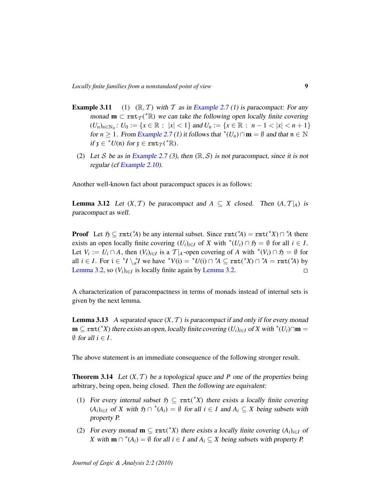- **Example 3.11** (1)  $(\mathbb{R}, \mathcal{T})$  with  $\mathcal{T}$  as in [Example 2.7](#page-0-0) (1) is paracompact: For any monad  $m \subset \text{rmt}_{\mathcal{T}}({}^*\mathbb{R})$  we can take the following open locally finite covering  $(U_n)_{n \in \mathbb{N}_0}$ :  $U_0 := \{x \in \mathbb{R} : |x| < 1\}$  and  $U_n := \{x \in \mathbb{R} : n - 1 < |x| < n + 1\}$ for *n*  $\geq$  1. From [Example 2.7](#page-0-0) (1) it follows that <sup>\*</sup>( $U_n$ ) ∩ **m** =  $\emptyset$  and that  $\mathfrak{n} \in \mathbb{N}$ if  $\mathfrak{x} \in {}^*U(\mathfrak{n})$  for  $\mathfrak{x} \in \texttt{rmt}_{\mathcal{T}}({}^*\mathbb{R})$ .
- (2) Let S be as in [Example 2.7](#page-0-0) (3), then  $(\mathbb{R}, \mathcal{S})$  is not paracompact, since it is not regular (cf [Example 2.10\)](#page-4-2).

Another well-known fact about paracompact spaces is as follows:

**Lemma 3.12** Let  $(X, \mathcal{T})$  be paracompact and  $A \subseteq X$  closed. Then  $(A, \mathcal{T}|_A)$  is paracompact as well.

**Proof** Let  $\mathfrak{H} \subseteq \text{rmt}^*(A)$  be any internal subset. Since  $\text{rmt}^*(A) = \text{rmt}^*(X) \cap A^*$  there exists an open locally finite covering  $(U_i)_{i \in I}$  of *X* with  $^*(U_i) \cap \mathfrak{H} = \emptyset$  for all  $i \in I$ . Let  $V_i := U_i \cap A$ , then  $(V_i)_{i \in I}$  is a  $T|_A$ -open covering of A with  $^*(V_i) \cap \mathfrak{H} = \emptyset$  for all  $i \in I$ . For  $i \in {}^*I \setminus {}^*_{\sigma}I$  we have  ${}^*V(i) = {}^*U(i) \cap {}^*A \subseteq \text{rmt}({}^*X) \cap {}^*A = \text{rmt}({}^*A)$  by [Lemma 3.2,](#page-5-0) so  $(V_i)_{i \in I}$  is locally finite again by [Lemma 3.2.](#page-5-0)  $\Box$ 

A characterization of paracompactness in terms of monads instead of internal sets is given by the next lemma.

<span id="page-8-1"></span>**Lemma 3.13** A separated space  $(X, \mathcal{T})$  is paracompact if and only if for every monad  $\mathbf{m} \subseteq \text{rmt}(*X)$  there exists an open, locally finite covering  $(U_i)_{i \in I}$  of X with  $*(U_i) \cap \mathbf{m} =$  $\emptyset$  for all  $i \in I$ .

The above statement is an immediate consequence of the following stronger result.

<span id="page-8-0"></span>**Theorem 3.14** Let  $(X, \mathcal{T})$  be a topological space and P one of the properties being arbitrary, being open, being closed. Then the following are equivalent:

- (1) For every internal subset  $\mathfrak{H} \subseteq \text{rmt}({}^*X)$  there exists a locally finite covering  $(A_i)_{i \in I}$  of *X* with  $\mathfrak{H} \cap {^*}(A_i) = \emptyset$  for all  $i \in I$  and  $A_i \subseteq X$  being subsets with property P.
- (2) For every monad  $\mathbf{m} \subseteq \text{rmt}({}^*X)$  there exists a locally finite covering  $(A_i)_{i \in I}$  of *X* with **m**  $\cap$  <sup>\*</sup>( $A_i$ ) =  $\emptyset$  for all  $i \in I$  and  $A_i \subseteq X$  being subsets with property P.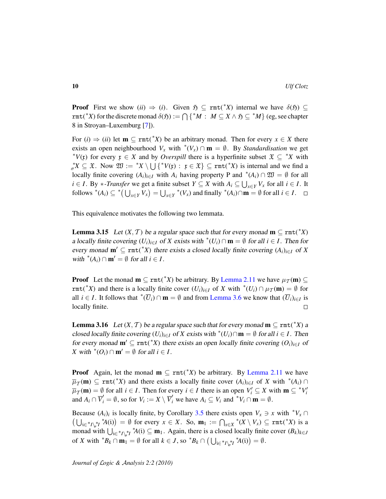**Proof** First we show (*ii*)  $\Rightarrow$  (*i*). Given  $\mathfrak{H} \subseteq \text{rmt}(*X)$  internal we have  $\delta(\mathfrak{H}) \subseteq$  $rmt({}^*X)$  for the discrete monad  $\delta(\mathfrak{H}) := \bigcap \{ {}^*M : M \subseteq X \wedge \mathfrak{H} \subseteq {}^*M \}$  (eg, see chapter 8 in Stroyan–Luxemburg [\[7\]](#page-11-2)).

For  $(i) \Rightarrow (ii)$  let  $\mathbf{m} \subseteq \text{rmt}(*X)$  be an arbitrary monad. Then for every  $x \in X$  there exists an open neighbourhood  $V_x$  with  $^*(V_x) \cap \mathbf{m} = \emptyset$ . By *Standardisation* we get \* $V(\mathfrak{x})$  for every  $\mathfrak{x} \in X$  and by *Overspill* there is a hyperfinite subset  $\mathfrak{X} \subseteq {}^*X$  with  $\sigma^*X \subseteq \mathfrak{X}$ . Now  $\mathfrak{W} := {}^*X \setminus \bigcup \{ {}^*V(\mathfrak{x}) : \mathfrak{x} \in \mathfrak{X} \} \subseteq \text{rmt}({}^*X)$  is internal and we find a locally finite covering  $(A_i)_{i \in I}$  with  $A_i$  having property P and  $*(A_i) \cap \mathfrak{W} = \emptyset$  for all *i* ∈ *I*. By \*-*Transfer* we get a finite subset *Y* ⊆ *X* with  $A_i$  ⊆  $\bigcup_{x \in Y} V_x$  for all *i* ∈ *I*. It follows  $^*(A_i) \subseteq ^*$   $\left(\bigcup_{x \in Y} V_x\right) = \bigcup_{x \in Y}$ \* $(V_x)$  and finally \* $(A_i)$ ∩**m** = ∅ for all *i* ∈ *I*.

This equivalence motivates the following two lemmata.

<span id="page-9-0"></span>**Lemma 3.15** Let  $(X, \mathcal{T})$  be a regular space such that for every monad  $\mathbf{m} \subseteq \text{rmt}({}^*X)$ a locally finite covering  $(U_i)_{i \in I}$  of *X* exists with  $^*(U_i) \cap \mathbf{m} = \emptyset$  for all  $i \in I$ . Then for every monad  $m' \subseteq \text{rmt}(*X)$  there exists a closed locally finite covering  $(A_i)_{i \in I}$  of X with  $^*(A_i) \cap \mathbf{m}' = \emptyset$  for all  $i \in I$ .

**Proof** Let the monad  $\mathbf{m} \subseteq \text{rmt}(*X)$  be arbitrary. By [Lemma 2.11](#page-4-3) we have  $\mu_{\mathcal{T}}(\mathbf{m}) \subseteq$ rmt(<sup>\*</sup>*X*) and there is a locally finite cover  $(U_i)_{i \in I}$  of *X* with <sup>\*</sup> $(U_i) \cap \mu_{\mathcal{I}}(m) = \emptyset$  for all *i*  $\in$  *I*. It follows that <sup>\*</sup>( $\overline{U}_i$ ) ∩ **m** =  $\emptyset$  and from [Lemma 3.6](#page-7-1) we know that  $(\overline{U}_i)_{i \in I}$  is locally finite.  $\Box$ 

<span id="page-9-1"></span>**Lemma 3.16** Let  $(X, \mathcal{T})$  be a regular space such that for every monad  $\mathbf{m} \subseteq \text{rmt}(*X)$  a closed locally finite covering  $(U_i)_{i \in I}$  of *X* exists with  $^*(U_i) \cap \mathbf{m} = \emptyset$  for all  $i \in I$ . Then for every monad  $m' \subseteq \text{rmt}(*X)$  there exists an open locally finite covering  $(O_i)_{i \in I}$  of *X* with  $^*(O_i) \cap \mathbf{m}' = \emptyset$  for all  $i \in I$ .

**Proof** Again, let the monad  $\mathbf{m} \subseteq \text{rmt}(*X)$  be arbitrary. By [Lemma 2.11](#page-4-3) we have  $\overline{\mu}_T(\mathbf{m}) \subseteq \text{rmt}(*X)$  and there exists a locally finite cover  $(A_i)_{i \in I}$  of *X* with  $*(A_i) \cap$  $\overline{\mu}_T(\mathbf{m}) = \emptyset$  for all  $i \in I$ . Then for every  $i \in I$  there is an open  $V_i' \subseteq X$  with  $\mathbf{m} \subseteq {}^*V_i'$ and  $A_i \cap \overline{V}'_i = \emptyset$ , so for  $V_i := X \setminus \overline{V}'_i$  we have  $A_i \subseteq V_i$  and \* $V_i \cap \mathbf{m} = \emptyset$ .

Because  $(A_i)_i$  is locally finite, by Corollary [3.5](#page-6-1) there exists open  $V_x \ni x$  with  $^*V_x \cap$  $\left(\bigcup_{i\in{}^*I\setminus_{\sigma}^{*}I} {}^*A(i)\right) = \emptyset$  for every  $x \in X$ . So,  $\mathbf{m}_1 := \bigcap_{x \in X}$ \* $(X \setminus V_x)$  ⊆ rmt(<sup>\*</sup>X) is a monad with  $\bigcup_{i\in{}^{*}I\setminus{}^{*}I} {}^{*}A(i) \subseteq \mathbf{m}_1$ . Again, there is a closed locally finite cover  $(B_k)_{k\in J}$ of *X* with  ${}^*B_k \cap \mathbf{m}_1 = \emptyset$  for all  $k \in J$ , so  ${}^*B_k \cap (\bigcup_{i \in {}^*I\setminus {}^*J} {}^*A(i)) = \emptyset$ .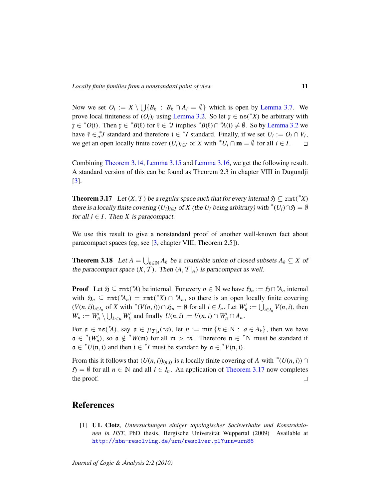Now we set  $O_i := X \setminus \bigcup \{B_k : B_k \cap A_i = \emptyset\}$  which is open by [Lemma 3.7.](#page-7-2) We prove local finiteness of  $(O_i)_i$  using [Lemma 3.2.](#page-5-0) So let  $\mathfrak{x} \in \text{ns}({}^*X)$  be arbitrary with  $\mathfrak{x} \in {}^*O(\mathfrak{i})$ . Then  $\mathfrak{x} \in {}^*B(\mathfrak{k})$  for  $\mathfrak{k} \in {}^*J$  implies  ${}^*B(\mathfrak{k}) \cap {}^*A(\mathfrak{i}) \neq \emptyset$ . So by [Lemma 3.2](#page-5-0) we have  $\mathfrak{k} \in \sigma^*$ *J* standard and therefore  $i \in {}^*I$  standard. Finally, if we set  $U_i := O_i \cap V_i$ , we get an open locally finite cover  $(U_i)_{i \in I}$  of X with  $^*U_i \cap \mathbf{m} = \emptyset$  for all  $i \in I$ .  $\Box$ 

Combining [Theorem 3.14,](#page-8-0) [Lemma 3.15](#page-9-0) and [Lemma 3.16,](#page-9-1) we get the following result. A standard version of this can be found as Theorem 2.3 in chapter VIII in Dugundji [\[3\]](#page-11-5).

<span id="page-10-0"></span>**Theorem 3.17** Let  $(X, \mathcal{T})$  be a regular space such that for every internal  $\mathfrak{H} \subseteq \text{rmt}({}^*X)$ there is a locally finite covering  $(U_i)_{i \in I}$  of  $X$  (the  $U_i$  being arbitrary) with  $^*(U_i) \cap \mathfrak{H} = \emptyset$ for all  $i \in I$ . Then *X* is paracompact.

We use this result to give a nonstandard proof of another well-known fact about paracompact spaces (eg, see [\[3,](#page-11-5) chapter VIII, Theorem 2.5]).

**Theorem 3.18** Let  $A = \bigcup_{k \in \mathbb{N}} A_k$  be a countable union of closed subsets  $A_k \subseteq X$  of the paracompact space  $(X, \mathcal{T})$ . Then  $(A, \mathcal{T}|_A)$  is paracompact as well.

**Proof** Let  $\mathfrak{H} \subseteq \text{rmt}^*(A)$  be internal. For every  $n \in \mathbb{N}$  we have  $\mathfrak{H}_n := \mathfrak{H} \cap {^*}A_n$  internal with  $\mathfrak{H}_n \subseteq \text{rmt}(\mathbb{A}_n) = \text{rmt}(\mathbb{A}_n) \cap \mathbb{A}_n$ , so there is an open locally finite covering  $(V(n, i))_{i \in I_n}$  of X with  $^*(V(n, i)) \cap \mathfrak{H}_n = \emptyset$  for all  $i \in I_n$ . Let  $W'_n := \bigcup_{i \in I_n} V(n, i)$ , then  $W_n := W'_n \setminus \bigcup_{k < n} W'_k$  and finally  $U(n, i) := V(n, i) \cap W'_n \cap A_n$ .

For  $\alpha \in \text{ns}(\mathbb{A})$ , say  $\alpha \in \mu_{\mathcal{T}|A}(\mathbb{A}a)$ , let  $n := \min \{k \in \mathbb{N} : a \in A_k\}$ , then we have  $\mathfrak{a} \in {}^*(W'_n)$ , so  $\mathfrak{a} \notin {}^*W(\mathfrak{m})$  for all  $\mathfrak{m} > *n$ . Therefore  $\mathfrak{n} \in {}^*N$  must be standard if  $a \in {}^*U(n, i)$  and then  $i \in {}^*I$  must be standard by  $a \in {}^*V(n, i)$ .

From this it follows that  $(U(n, i))_{(n,i)}$  is a locally finite covering of *A* with  $^*(U(n, i)) \cap$  $\mathfrak{H} = \emptyset$  for all  $n \in \mathbb{N}$  and all  $i \in I_n$ . An application of [Theorem 3.17](#page-10-0) now completes the proof.  $\Box$ 

## References

<span id="page-10-1"></span>[1] **UL Clotz**, *Untersuchungen einiger topologischer Sachverhalte und Konstruktionen in HST*, PhD thesis, Bergische Universität Wuppertal (2009) Available at [http://nbn-resolving.de/urn/resolver.pl?urn=urn86](http://nbn-resolving.de/urn/resolver.pl?urn=urn%3Anbn%3Ade%3Ahbz%3A468-20090586)